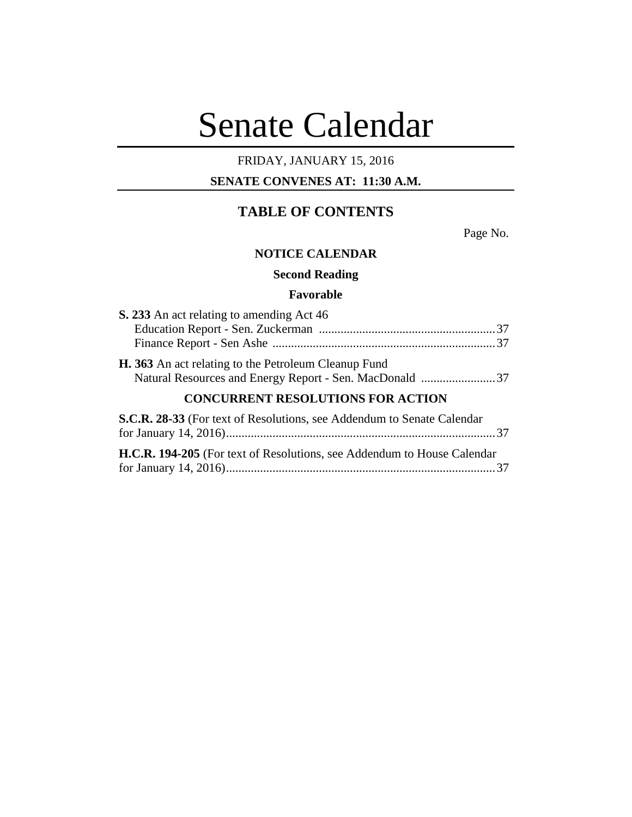# Senate Calendar

# FRIDAY, JANUARY 15, 2016

# **SENATE CONVENES AT: 11:30 A.M.**

# **TABLE OF CONTENTS**

Page No.

#### **NOTICE CALENDAR**

**Second Reading**

## **Favorable**

| S. 233 An act relating to amending Act 46                                                                       |  |
|-----------------------------------------------------------------------------------------------------------------|--|
|                                                                                                                 |  |
| H. 363 An act relating to the Petroleum Cleanup Fund<br>Natural Resources and Energy Report - Sen. MacDonald 37 |  |
| <b>CONCURRENT RESOLUTIONS FOR ACTION</b>                                                                        |  |
| S.C.R. 28-33 (For text of Resolutions, see Addendum to Senate Calendar                                          |  |
| H.C.R. 194-205 (For text of Resolutions, see Addendum to House Calendar                                         |  |